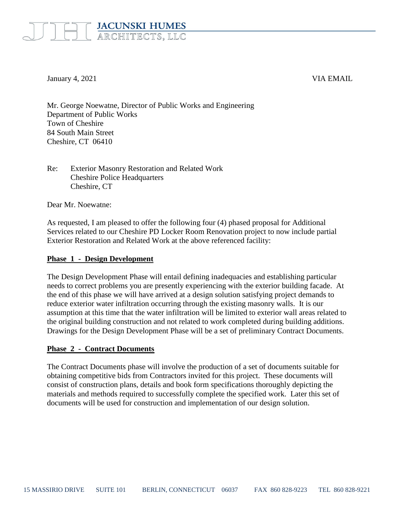# **JACUNSKI HUMES** ARCHITECTS, LLC

January 4, 2021 VIA EMAIL

Mr. George Noewatne, Director of Public Works and Engineering Department of Public Works Town of Cheshire 84 South Main Street Cheshire, CT 06410

## Re: Exterior Masonry Restoration and Related Work Cheshire Police Headquarters Cheshire, CT

Dear Mr. Noewatne:

As requested, I am pleased to offer the following four (4) phased proposal for Additional Services related to our Cheshire PD Locker Room Renovation project to now include partial Exterior Restoration and Related Work at the above referenced facility:

#### **Phase 1 - Design Development**

The Design Development Phase will entail defining inadequacies and establishing particular needs to correct problems you are presently experiencing with the exterior building facade. At the end of this phase we will have arrived at a design solution satisfying project demands to reduce exterior water infiltration occurring through the existing masonry walls. It is our assumption at this time that the water infiltration will be limited to exterior wall areas related to the original building construction and not related to work completed during building additions. Drawings for the Design Development Phase will be a set of preliminary Contract Documents.

#### **Phase 2 - Contract Documents**

The Contract Documents phase will involve the production of a set of documents suitable for obtaining competitive bids from Contractors invited for this project. These documents will consist of construction plans, details and book form specifications thoroughly depicting the materials and methods required to successfully complete the specified work. Later this set of documents will be used for construction and implementation of our design solution.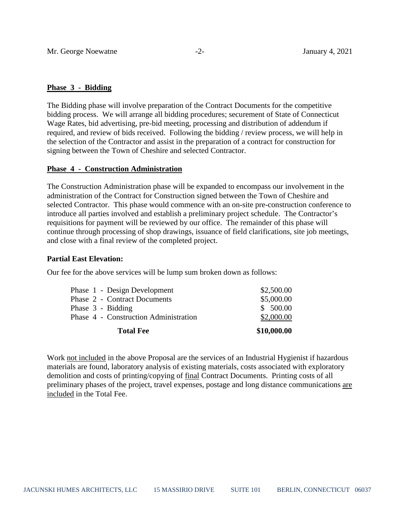## **Phase 3 - Bidding**

The Bidding phase will involve preparation of the Contract Documents for the competitive bidding process. We will arrange all bidding procedures; securement of State of Connecticut Wage Rates, bid advertising, pre-bid meeting, processing and distribution of addendum if required, and review of bids received. Following the bidding / review process, we will help in the selection of the Contractor and assist in the preparation of a contract for construction for signing between the Town of Cheshire and selected Contractor.

## **Phase 4 - Construction Administration**

The Construction Administration phase will be expanded to encompass our involvement in the administration of the Contract for Construction signed between the Town of Cheshire and selected Contractor. This phase would commence with an on-site pre-construction conference to introduce all parties involved and establish a preliminary project schedule. The Contractor's requisitions for payment will be reviewed by our office. The remainder of this phase will continue through processing of shop drawings, issuance of field clarifications, site job meetings, and close with a final review of the completed project.

#### **Partial East Elevation:**

Our fee for the above services will be lump sum broken down as follows:

| <b>Total Fee</b>                      | \$10,000.00 |
|---------------------------------------|-------------|
| Phase 4 - Construction Administration | \$2,000.00  |
| Phase 3 - Bidding                     | \$500.00    |
| Phase 2 - Contract Documents          | \$5,000.00  |
| Phase 1 - Design Development          | \$2,500.00  |

Work not included in the above Proposal are the services of an Industrial Hygienist if hazardous materials are found, laboratory analysis of existing materials, costs associated with exploratory demolition and costs of printing/copying of final Contract Documents. Printing costs of all preliminary phases of the project, travel expenses, postage and long distance communications are included in the Total Fee.